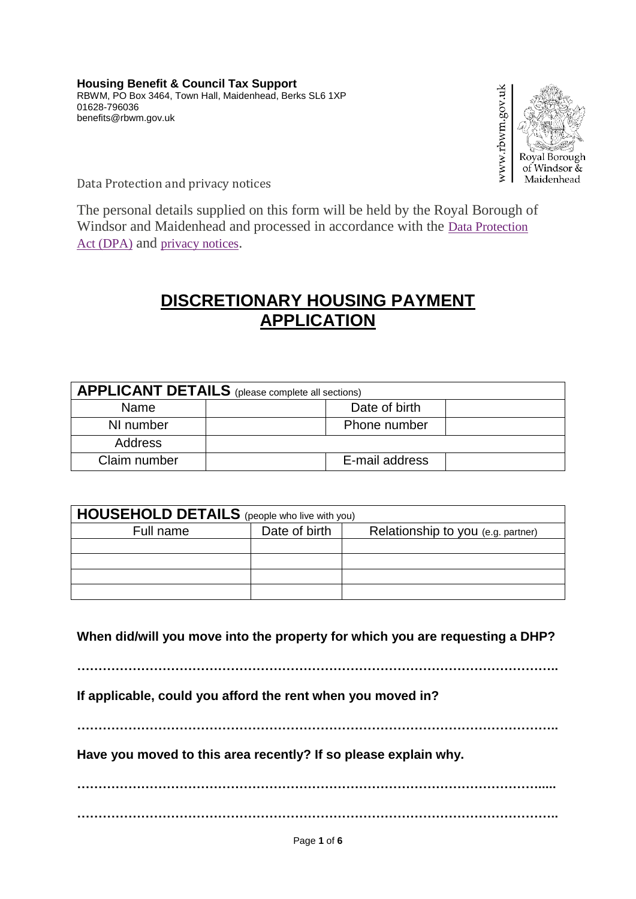

Data Protection and privacy notices

The personal details supplied on this form will be held by the Royal Borough of Windsor and Maidenhead and processed in accordance with the [Data Protection](https://www3.rbwm.gov.uk/dataprotection)  Act [\(DPA\)](https://www3.rbwm.gov.uk/dataprotection) and [privacy notices](https://www3.rbwm.gov.uk/privacy).

## **DISCRETIONARY HOUSING PAYMENT APPLICATION**

| <b>APPLICANT DETAILS</b> (please complete all sections) |                |  |  |  |
|---------------------------------------------------------|----------------|--|--|--|
| Name                                                    | Date of birth  |  |  |  |
| NI number                                               | Phone number   |  |  |  |
| <b>Address</b>                                          |                |  |  |  |
| Claim number                                            | E-mail address |  |  |  |

| <b>HOUSEHOLD DETAILS</b> (people who live with you) |               |                                    |  |  |
|-----------------------------------------------------|---------------|------------------------------------|--|--|
| Full name                                           | Date of birth | Relationship to you (e.g. partner) |  |  |
|                                                     |               |                                    |  |  |
|                                                     |               |                                    |  |  |
|                                                     |               |                                    |  |  |
|                                                     |               |                                    |  |  |

**When did/will you move into the property for which you are requesting a DHP?**

**…………………………………………………………………………………………………..**

**If applicable, could you afford the rent when you moved in?**

**…………………………………………………………………………………………………..**

**Have you moved to this area recently? If so please explain why.**

**………………………………………………………………………………………………..... …………………………………………………………………………………………………..**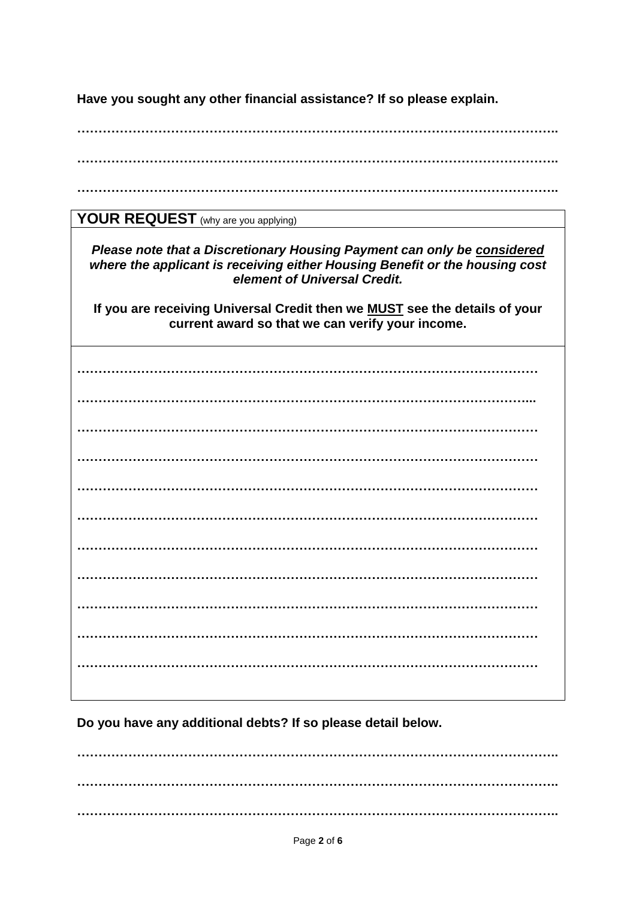**Have you sought any other financial assistance? If so please explain.**

**………………………………………………………………………………………………….. …………………………………………………………………………………………………..**

**…………………………………………………………………………………………………..**

YOUR REQUEST (why are you applying)

*Please note that a Discretionary Housing Payment can only be considered where the applicant is receiving either Housing Benefit or the housing cost element of Universal Credit.*

**If you are receiving Universal Credit then we MUST see the details of your current award so that we can verify your income.**

**……………………………………………………………………………………………… ……………………………………………………………………………………………... ……………………………………………………………………………………………… ……………………………………………………………………………………………… ……………………………………………………………………………………………… ……………………………………………………………………………………………… ……………………………………………………………………………………………… ……………………………………………………………………………………………… ……………………………………………………………………………………………… ……………………………………………………………………………………………… ………………………………………………………………………………………………**

**Do you have any additional debts? If so please detail below.**

**………………………………………………………………………………………………….. ………………………………………………………………………………………………….. …………………………………………………………………………………………………..**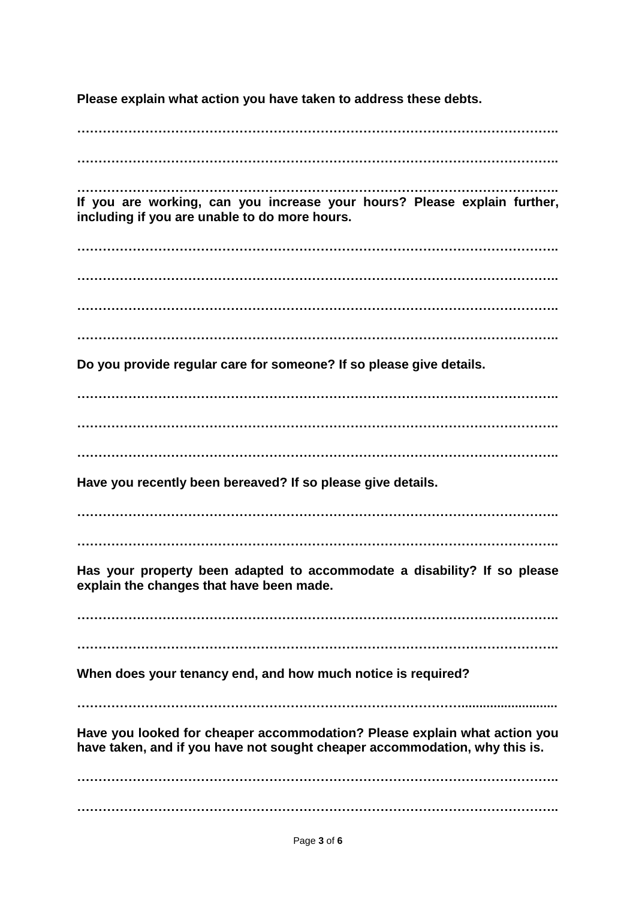**Please explain what action you have taken to address these debts.**

**…………………………………………………………………………………………………..**

**…………………………………………………………………………………………………..**

**………………………………………………………………………………………………….. If you are working, can you increase your hours? Please explain further, including if you are unable to do more hours.**

**………………………………………………………………………………………………….. ………………………………………………………………………………………………….. …………………………………………………………………………………………………..**

**…………………………………………………………………………………………………..**

**Do you provide regular care for someone? If so please give details.**

**………………………………………………………………………………………………….. ………………………………………………………………………………………………….. …………………………………………………………………………………………………..**

**Have you recently been bereaved? If so please give details.**

**…………………………………………………………………………………………………..**

**…………………………………………………………………………………………………..**

**Has your property been adapted to accommodate a disability? If so please explain the changes that have been made.**

**…………………………………………………………………………………………………..**

**…………………………………………………………………………………………………..**

**When does your tenancy end, and how much notice is required?**

**………………………………………………………………………………...........................**

**Have you looked for cheaper accommodation? Please explain what action you have taken, and if you have not sought cheaper accommodation, why this is.**

**………………………………………………………………………………………………….. …………………………………………………………………………………………………..**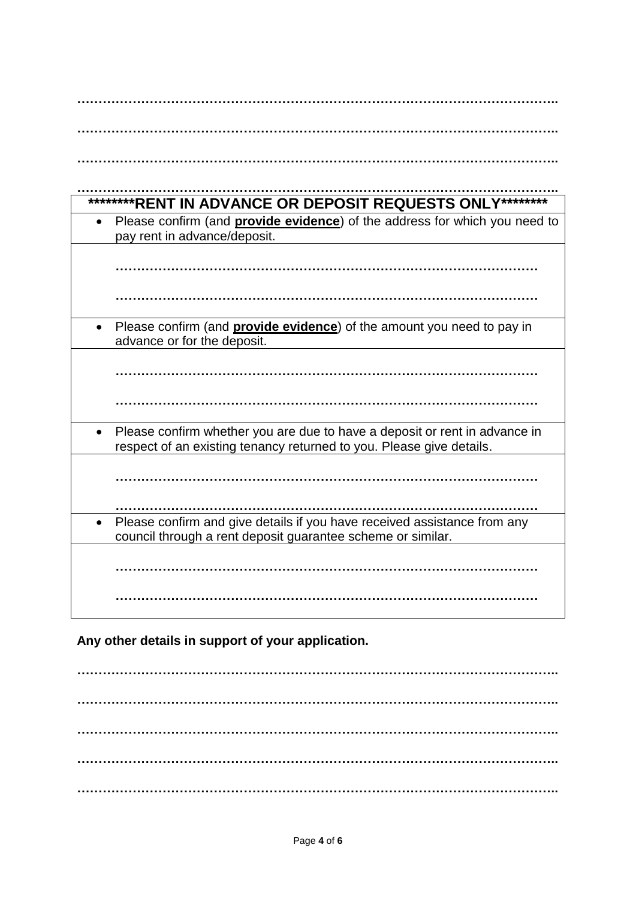| ********RENT IN ADVANCE OR DEPOSIT REQUESTS ONLY********                           |
|------------------------------------------------------------------------------------|
| Please confirm (and <b>provide evidence</b> ) of the address for which you need to |
| pay rent in advance/deposit.                                                       |
|                                                                                    |
|                                                                                    |
|                                                                                    |
|                                                                                    |
|                                                                                    |
| Please confirm (and <b>provide evidence</b> ) of the amount you need to pay in     |
| advance or for the deposit.                                                        |
|                                                                                    |
|                                                                                    |
|                                                                                    |
|                                                                                    |
|                                                                                    |
| Please confirm whether you are due to have a deposit or rent in advance in         |
| respect of an existing tenancy returned to you. Please give details.               |
|                                                                                    |
|                                                                                    |
|                                                                                    |
|                                                                                    |
| Please confirm and give details if you have received assistance from any           |
| council through a rent deposit guarantee scheme or similar.                        |
|                                                                                    |
|                                                                                    |
|                                                                                    |
|                                                                                    |
|                                                                                    |

**Any other details in support of your application.**

**………………………………………………………………………………………………….. ………………………………………………………………………………………………….. ………………………………………………………………………………………………….. ………………………………………………………………………………………………….. …………………………………………………………………………………………………..**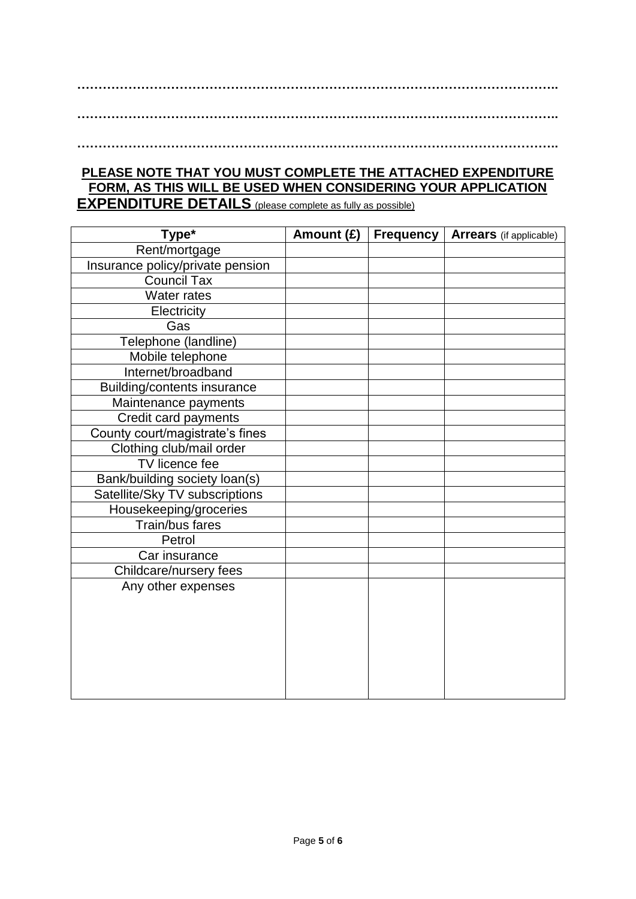**…………………………………………………………………………………………………..**

**…………………………………………………………………………………………………..**

**…………………………………………………………………………………………………..**

## **PLEASE NOTE THAT YOU MUST COMPLETE THE ATTACHED EXPENDITURE FORM, AS THIS WILL BE USED WHEN CONSIDERING YOUR APPLICATION EXPENDITURE DETAILS** (please complete as fully as possible)

**Type\* Amount (£) Frequency Arrears** (if applicable) Rent/mortgage Insurance policy/private pension Council Tax Water rates **Electricity** Gas Telephone (landline) Mobile telephone Internet/broadband Building/contents insurance Maintenance payments Credit card payments County court/magistrate's fines Clothing club/mail order TV licence fee Bank/building society loan(s) Satellite/Sky TV subscriptions Housekeeping/groceries Train/bus fares **Petrol** Car insurance Childcare/nursery fees Any other expenses